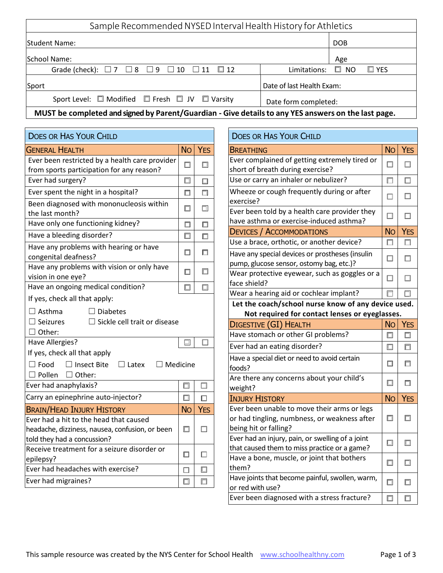| Sample Recommended NYSED Interval Health History for Athletics                                      |                                            |  |  |
|-----------------------------------------------------------------------------------------------------|--------------------------------------------|--|--|
| <b>Student Name:</b>                                                                                | <b>DOB</b>                                 |  |  |
| School Name:                                                                                        | Age                                        |  |  |
| Grade (check): $\Box 7 \Box 8 \Box 9 \Box 10 \Box 11 \Box 12$                                       | Limitations: $\square$ NO<br>$\square$ YES |  |  |
| Sport                                                                                               | Date of last Health Exam:                  |  |  |
| Sport Level: $\Box$ Modified $\Box$ Fresh $\Box$ JV $\Box$ Varsity                                  | Date form completed:                       |  |  |
| MUST be completed and signed by Parent/Guardian - Give details to any YES answers on the last page. |                                            |  |  |

| <b>DOES OR HAS YOUR CHILD</b>                                                                                               |           |            |  |  |  |
|-----------------------------------------------------------------------------------------------------------------------------|-----------|------------|--|--|--|
| <b>GENERAL HEALTH</b>                                                                                                       | <b>No</b> | <b>YES</b> |  |  |  |
| Ever been restricted by a health care provider<br>from sports participation for any reason?                                 | П         | □          |  |  |  |
| Ever had surgery?                                                                                                           | ⊓         | □          |  |  |  |
| Ever spent the night in a hospital?                                                                                         | П         | п          |  |  |  |
| Been diagnosed with mononucleosis within<br>the last month?                                                                 | □         | □          |  |  |  |
| Have only one functioning kidney?                                                                                           | $\Box$    | П          |  |  |  |
| Have a bleeding disorder?                                                                                                   | □         | $\Box$     |  |  |  |
| Have any problems with hearing or have<br>congenital deafness?                                                              | □         | П          |  |  |  |
| Have any problems with vision or only have<br>vision in one eye?                                                            | $\Box$    | $\Box$     |  |  |  |
| Have an ongoing medical condition?                                                                                          | П         | □          |  |  |  |
| If yes, check all that apply:<br>$\Box$ Asthma<br>$\Box$ Diabetes<br>$\Box$ Sickle cell trait or disease<br>$\Box$ Seizures |           |            |  |  |  |
| $\Box$ Other:                                                                                                               |           |            |  |  |  |
| Have Allergies?                                                                                                             | 티         | □          |  |  |  |
| If yes, check all that apply<br>$\Box$ Food $\Box$ Insect Bite $\Box$ Latex $\Box$ Medicine<br>$\Box$ Pollen $\Box$ Other:  |           |            |  |  |  |
| Ever had anaphylaxis?                                                                                                       | □         | $\Box$     |  |  |  |
| Carry an epinephrine auto-injector?                                                                                         | $\Box$    | П          |  |  |  |
| <b>BRAIN/HEAD INJURY HISTORY</b>                                                                                            | <b>No</b> | <b>YES</b> |  |  |  |
| Ever had a hit to the head that caused<br>headache, dizziness, nausea, confusion, or been<br>told they had a concussion?    | n         | ΙI         |  |  |  |
| Receive treatment for a seizure disorder or<br>epilepsy?                                                                    | П         | П          |  |  |  |
| Ever had headaches with exercise?                                                                                           | П         | 口          |  |  |  |
| Ever had migraines?                                                                                                         | П         | Ò          |  |  |  |

| <b>DOES OR HAS YOUR CHILD</b>                                                                                             |           |            |  |  |
|---------------------------------------------------------------------------------------------------------------------------|-----------|------------|--|--|
| <b>BREATHING</b>                                                                                                          | <b>No</b> | <b>YES</b> |  |  |
| Ever complained of getting extremely tired or<br>short of breath during exercise?                                         | $\Box$    | □          |  |  |
| Use or carry an inhaler or nebulizer?                                                                                     | П         | П          |  |  |
| Wheeze or cough frequently during or after<br>exercise?                                                                   | П         | $\Box$     |  |  |
| Ever been told by a health care provider they<br>have asthma or exercise-induced asthma?                                  | $\Box$    | □          |  |  |
| <b>DEVICES / ACCOMMODATIONS</b>                                                                                           | <b>No</b> | <b>YES</b> |  |  |
| Use a brace, orthotic, or another device?                                                                                 | п         |            |  |  |
| Have any special devices or prostheses (insulin<br>pump, glucose sensor, ostomy bag, etc.)?                               | $\Box$    | П          |  |  |
| Wear protective eyewear, such as goggles or a<br>face shield?                                                             | $\Box$    | П          |  |  |
| Wear a hearing aid or cochlear implant?                                                                                   | П         | П          |  |  |
| Let the coach/school nurse know of any device used.                                                                       |           |            |  |  |
| Not required for contact lenses or eyeglasses.                                                                            |           |            |  |  |
| DIGESTIVE (GI) HEALTH                                                                                                     | <b>No</b> | <b>YES</b> |  |  |
| Have stomach or other GI problems?                                                                                        | $\Box$    | □          |  |  |
| Ever had an eating disorder?                                                                                              | $\Box$    | П          |  |  |
| Have a special diet or need to avoid certain<br>foods?                                                                    | п         | п          |  |  |
| Are there any concerns about your child's<br>weight?                                                                      | $\Box$    | п          |  |  |
| <b>INJURY HISTORY</b>                                                                                                     | <b>No</b> | <b>YES</b> |  |  |
| Ever been unable to move their arms or legs<br>or had tingling, numbness, or weakness after                               | □         | □          |  |  |
| being hit or falling?<br>Ever had an injury, pain, or swelling of a joint<br>that caused them to miss practice or a game? | □         | $\Box$     |  |  |
| Have a bone, muscle, or joint that bothers<br>them?                                                                       | □         | □          |  |  |
| Have joints that become painful, swollen, warm,<br>or red with use?                                                       | $\Box$    | □          |  |  |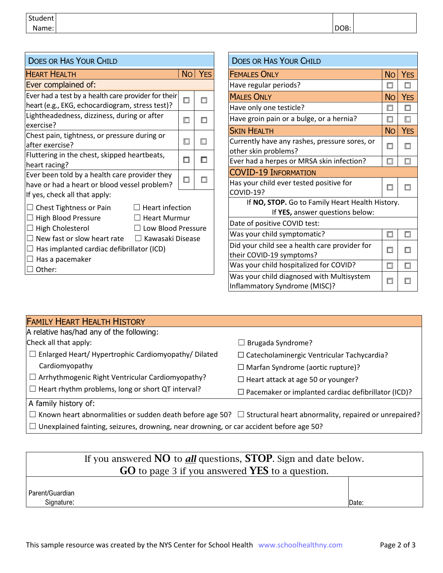| Student |                     |  |
|---------|---------------------|--|
| Jame:   | $\cap D$<br>.ס<br>◡ |  |
|         |                     |  |

| <b>DOES OR HAS YOUR CHILD</b>                                                                                                                                                                                                                                 |           |                                                 | <b>DOES OR HAS YOUR CHILD</b>                                              |           |            |  |
|---------------------------------------------------------------------------------------------------------------------------------------------------------------------------------------------------------------------------------------------------------------|-----------|-------------------------------------------------|----------------------------------------------------------------------------|-----------|------------|--|
| <b>HEART HEALTH</b>                                                                                                                                                                                                                                           | <b>No</b> | <b>YES</b>                                      | <b>FEMALES ONLY</b>                                                        | <b>No</b> | <b>YES</b> |  |
| Ever complained of:                                                                                                                                                                                                                                           |           |                                                 | Have regular periods?                                                      |           | □          |  |
| Ever had a test by a health care provider for their                                                                                                                                                                                                           | $\Box$    | $\Box$                                          | <b>MALES ONLY</b>                                                          | <b>No</b> | <b>YES</b> |  |
| heart (e.g., EKG, echocardiogram, stress test)?                                                                                                                                                                                                               |           |                                                 | Have only one testicle?                                                    | 囗         | $\Box$     |  |
| Lightheadedness, dizziness, during or after<br>exercise?                                                                                                                                                                                                      | $\Box$    | □                                               | Have groin pain or a bulge, or a hernia?                                   |           | $\Box$     |  |
| Chest pain, tightness, or pressure during or                                                                                                                                                                                                                  |           |                                                 | <b>SKIN HEALTH</b>                                                         | <b>No</b> | <b>YES</b> |  |
| after exercise?                                                                                                                                                                                                                                               | $\Box$    | $\Box$                                          | Currently have any rashes, pressure sores, or<br>other skin problems?      |           | □          |  |
| Fluttering in the chest, skipped heartbeats,<br>heart racing?                                                                                                                                                                                                 | $\Box$    | 囗                                               | Ever had a herpes or MRSA skin infection?                                  |           | □          |  |
| Ever been told by a health care provider they                                                                                                                                                                                                                 | □         |                                                 | <b>COVID-19 INFORMATION</b>                                                |           |            |  |
| have or had a heart or blood vessel problem?                                                                                                                                                                                                                  |           | □                                               | Has your child ever tested positive for                                    |           | П          |  |
| If yes, check all that apply:                                                                                                                                                                                                                                 |           |                                                 | COVID-19?                                                                  |           |            |  |
| $\Box$ Chest Tightness or Pain<br><b>Heart infection</b>                                                                                                                                                                                                      |           | If NO, STOP. Go to Family Heart Health History. |                                                                            |           |            |  |
| $\Box$ High Blood Pressure<br><b>Heart Murmur</b><br>$\Box$ High Cholesterol<br>Low Blood Pressure<br>$\Box$ New fast or slow heart rate<br>□ Kawasaki Disease<br>$\Box$ Has implanted cardiac defibrillator (ICD)<br>$\Box$ Has a pacemaker<br>$\Box$ Other: |           |                                                 | If YES, answer questions below:                                            |           |            |  |
|                                                                                                                                                                                                                                                               |           |                                                 | Date of positive COVID test:                                               |           |            |  |
|                                                                                                                                                                                                                                                               |           |                                                 | Was your child symptomatic?                                                |           | □          |  |
|                                                                                                                                                                                                                                                               |           |                                                 | Did your child see a health care provider for                              |           | □          |  |
|                                                                                                                                                                                                                                                               |           |                                                 | their COVID-19 symptoms?                                                   |           |            |  |
|                                                                                                                                                                                                                                                               |           | Was your child hospitalized for COVID?          | □                                                                          | $\Box$    |            |  |
|                                                                                                                                                                                                                                                               |           |                                                 | Was your child diagnosed with Multisystem<br>Inflammatory Syndrome (MISC)? |           | п          |  |

| <b>FAMILY HEART HEALTH HISTORY</b>                                                                                           |                                                            |
|------------------------------------------------------------------------------------------------------------------------------|------------------------------------------------------------|
| A relative has/had any of the following:                                                                                     |                                                            |
| Check all that apply:                                                                                                        | $\Box$ Brugada Syndrome?                                   |
| Enlarged Heart/Hypertrophic Cardiomyopathy/Dilated                                                                           | $\Box$ Catecholaminergic Ventricular Tachycardia?          |
| Cardiomyopathy                                                                                                               | $\Box$ Marfan Syndrome (aortic rupture)?                   |
| $\Box$ Arrhythmogenic Right Ventricular Cardiomyopathy?                                                                      | $\Box$ Heart attack at age 50 or younger?                  |
| Heart rhythm problems, long or short QT interval?<br>$\Box$                                                                  | $\Box$ Pacemaker or implanted cardiac defibrillator (ICD)? |
| A family history of:                                                                                                         |                                                            |
| $\Box$ Known heart abnormalities or sudden death before age 50? $\Box$ Structural heart abnormality, repaired or unrepaired? |                                                            |

 $\Box$  Unexplained fainting, seizures, drowning, near drowning, or car accident before age 50?

| If you answered <b>NO</b> to <b>all</b> questions, <b>STOP</b> . Sign and date below. |                                                               |       |  |
|---------------------------------------------------------------------------------------|---------------------------------------------------------------|-------|--|
|                                                                                       | <b>GO</b> to page 3 if you answered <b>YES</b> to a question. |       |  |
|                                                                                       |                                                               |       |  |
| l Parent/Guardian l                                                                   |                                                               |       |  |
| Signature:                                                                            |                                                               | Date: |  |